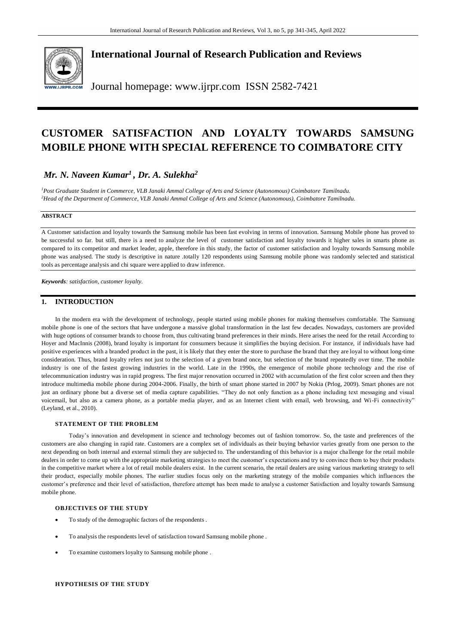

# **International Journal of Research Publication and Reviews**

Journal homepage: www.ijrpr.com ISSN 2582-7421

# **CUSTOMER SATISFACTION AND LOYALTY TOWARDS SAMSUNG MOBILE PHONE WITH SPECIAL REFERENCE TO COIMBATORE CITY**

# *Mr. N. Naveen Kumar<sup>1</sup> , Dr. A. Sulekha<sup>2</sup>*

*<sup>1</sup>Post Graduate Student in Commerce, VLB Janaki Ammal College of Arts and Science (Autonomous) Coimbatore Tamilnadu. <sup>2</sup>Head of the Department of Commerce, VLB Janaki Ammal College of Arts and Science (Autonomous), Coimbatore Tamilnadu.*

## **ABSTRACT**

A Customer satisfaction and loyalty towards the Samsung mobile has been fast evolving in terms of innovation. Samsung Mobile phone has proved to be successful so far. but still, there is a need to analyze the level of customer satisfaction and loyalty towards it higher sales in smarts phone as compared to its competitor and market leader, apple, therefore in this study, the factor of customer satisfaction and loyalty towards Samsung mobile phone was analysed. The study is descriptive in nature .totally 120 respondents using Samsung mobile phone was randomly selected and statistical tools as percentage analysis and chi square were applied to draw inference.

*Keywords: satisfaction, customer loyalty.*

## **1. INTRODUCTION**

In the modern era with the development of technology, people started using mobile phones for making themselves comfortable. The Samsung mobile phone is one of the sectors that have undergone a massive global transformation in the last few decades. Nowadays, customers are provided with huge options of consumer brands to choose from, thus cultivating brand preferences in their minds. Here arises the need for the retail According to Hoyer and MacInnis (2008), brand loyalty is important for consumers because it simplifies the buying decision. For instance, if individuals have had positive experiences with a branded product in the past, it is likely that they enter the store to purchase the brand that they are loyal to without long-time consideration. Thus, brand loyalty refers not just to the selection of a given brand once, but selection of the brand repeatedly over time. The mobile industry is one of the fastest growing industries in the world. Late in the 1990s, the emergence of mobile phone technology and the rise of telecommunication industry was in rapid progress. The first major renovation occurred in 2002 with accumulation of the first color screen and then they introduce multimedia mobile phone during 2004-2006. Finally, the birth of smart phone started in 2007 by Nokia (Prlog, 2009). Smart phones are not just an ordinary phone but a diverse set of media capture capabilities. "They do not only function as a phone including text messaging and visual voicemail, but also as a camera phone, as a portable media player, and as an Internet client with email, web browsing, and Wi-Fi connectivity" (Leyland, et al., 2010).

#### **STATEMENT OF THE PROBLEM**

Today's innovation and development in science and technology becomes out of fashion tomorrow. So, the taste and preferences of the customers are also changing in rapid rate. Customers are a complex set of individuals as their buying behavior varies greatly from one person to the next depending on both internal and external stimuli they are subjected to. The understanding of this behavior is a major challenge for the retail mobile dealers in order to come up with the appropriate marketing strategies to meet the customer's expectations and try to convince them to buy their products in the competitive market where a lot of retail mobile dealers exist. In the current scenario, the retail dealers are using various marketing strategy to sell their product, especially mobile phones. The earlier studies focus only on the marketing strategy of the mobile companies which influences the customer's preference and their level of satisfaction, therefore attempt has been made to analyse a customer Satisfaction and loyalty towards Samsung mobile phone.

### **OBJECTIVES OF THE STUDY**

- To study of the demographic factors of the respondents .
- To analysis the respondents level of satisfaction toward Samsung mobile phone .
- To examine customers loyalty to Samsung mobile phone .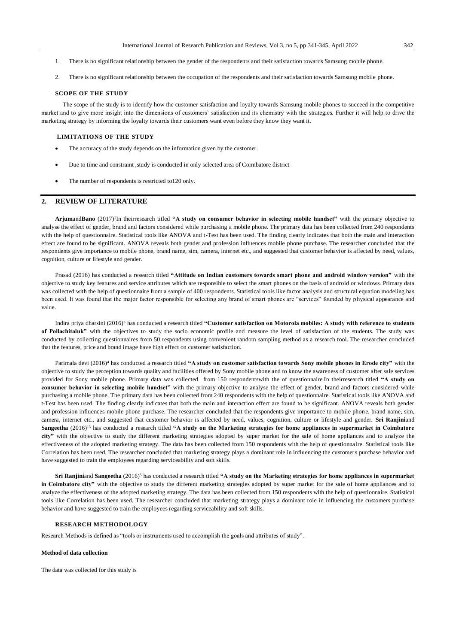- 1. There is no significant relationship between the gender of the respondents and their satisfaction towards Samsung mobile phone.
- 2. There is no significant relationship between the occupation of the respondents and their satisfaction towards Samsung mobile phone.

#### **SCOPE OF THE STUDY**

 The scope of the study is to identify how the customer satisfaction and loyalty towards Samsung mobile phones to succeed in the competitive market and to give more insight into the dimensions of customers' satisfaction and its chemistry with the strategies. Further it will help to drive the marketing strategy by informing the loyalty towards their customers want even before they know they want it.

#### **LIMITATIONS OF THE STUDY**

- The accuracy of the study depends on the information given by the customer.
- Due to time and constraint ,study is conducted in only selected area of Coimbatore district
- The number of respondents is restricted to120 only.

## **2. REVIEW OF LITERATURE**

**Arjum**and**Bano** (2017)<sup>1</sup> In theirresearch titled **"A study on consumer behavior in selecting mobile handset"** with the primary objective to analyse the effect of gender, brand and factors considered while purchasing a mobile phone. The primary data has been collected from 240 respondents with the help of questionnaire. Statistical tools like ANOVA and t-Test has been used. The finding clearly indicates that both the main and interaction effect are found to be significant. ANOVA reveals both gender and profession influences mobile phone purchase. The researcher concluded that the respondents give importance to mobile phone, brand name, sim, camera, internet etc., and suggested that customer behavior is affected by need, values, cognition, culture or lifestyle and gender.

Prasad (2016) has conducted a research titled **"Attitude on Indian customers towards smart phone and android window version"** with the objective to study key features and service attributes which are responsible to select the smart phones on the basis of android or windows. Primary data was collected with the help of questionnaire from a sample of 400 respondents. Statistical tools like factor analysis and structural equation modeling has been used. It was found that the major factor responsible for selecting any brand of smart phones are "services" founded by physical appearance and value.

Indira priya dharsini (2016)<sup>3</sup> has conducted a research titled **"Customer satisfaction on Motorola mobiles: A study with reference to students of Pollachitaluk"** with the objectives to study the socio economic profile and measure the level of satisfaction of the students. The study was conducted by collecting questionnaires from 50 respondents using convenient random sampling method as a research tool. The researcher concluded that the features, price and brand image have high effect on customer satisfaction.

Parimala devi (2016)<sup>4</sup> has conducted a research titled "A study on customer satisfaction towards Sony mobile phones in Erode city" with the objective to study the perception towards quality and facilities offered by Sony mobile phone and to know the awareness of customer after sale services provided for Sony mobile phone. Primary data was collected from 150 respondentswith the of questionnaire.In theirresearch titled **"A study on consumer behavior in selecting mobile handset"** with the primary objective to analyse the effect of gender, brand and factors considered while purchasing a mobile phone. The primary data has been collected from 240 respondents with the help of questionnaire. Statistical tools like ANOVA and t-Test has been used. The finding clearly indicates that both the main and interaction effect are found to be significant. ANOVA reveals both gender and profession influences mobile phone purchase. The researcher concluded that the respondents give importance to mobile phone, brand name, sim, camera, internet etc., and suggested that customer behavior is affected by need, values, cognition, culture or lifestyle and gender. **Sri Ranjini**and **Sangeetha** (2016)<sup>13</sup> has conducted a research titled **"A study on the Marketing strategies for home appliances in supermarket in Coimbatore city"** with the objective to study the different marketing strategies adopted by super market for the sale of home appliances and to analyze the effectiveness of the adopted marketing strategy. The data has been collected from 150 respondents with the help of questionna ire. Statistical tools like Correlation has been used. The researcher concluded that marketing strategy plays a dominant role in influencing the customers purchase behavior and have suggested to train the employees regarding serviceability and soft skills.

**Sri Ranjini**and **Sangeetha** (2016)<sup>5</sup> has conducted a research titled **"A study on the Marketing strategies for home appliances in supermarket in Coimbatore city"** with the objective to study the different marketing strategies adopted by super market for the sale of home appliances and to analyze the effectiveness of the adopted marketing strategy. The data has been collected from 150 respondents with the help of questionnaire. Statistical tools like Correlation has been used. The researcher concluded that marketing strategy plays a dominant role in influencing the customers purchase behavior and have suggested to train the employees regarding serviceability and soft skills.

### **RESEARCH METHODOLOGY**

Research Methods is defined as "tools or instruments used to accomplish the goals and attributes of study".

#### **Method of data collection**

The data was collected for this study is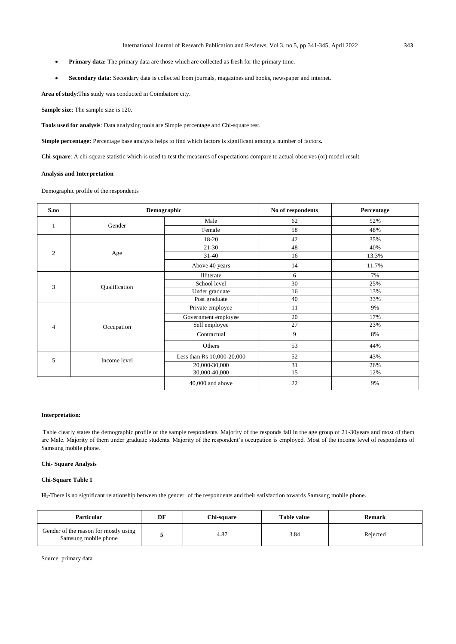- **Primary data:** The primary data are those which are collected as fresh for the primary time.
- **Secondary data:** Secondary data is collected from journals, magazines and books, newspaper and internet.

**Area of study**:This study was conducted in Coimbatore city.

**Sample size**: The sample size is 120.

**Tools used for analysis**: Data analyzing tools are Simple percentage and Chi-square test.

**Simple percentage:** Percentage base analysis helps to find which factors is significant among a number of factors**.**

**Chi-square**: A chi-square statistic which is used to test the measures of expectations compare to actual observes (or) model result.

#### **Analysis and Interpretation**

Demographic profile of the respondents

| S.no           |               | Demographic                                                                                                                                                         | No of respondents | Percentage |  |
|----------------|---------------|---------------------------------------------------------------------------------------------------------------------------------------------------------------------|-------------------|------------|--|
| $\mathbf{1}$   | Gender        | Male                                                                                                                                                                | 62                | 52%        |  |
|                |               | Female                                                                                                                                                              | 58                | 48%        |  |
| $\overline{2}$ | Age           | 18-20                                                                                                                                                               | 42                | 35%        |  |
|                |               | $21 - 30$                                                                                                                                                           | 48                | 40%        |  |
|                |               | $31-40$                                                                                                                                                             | 16                | 13.3%      |  |
|                |               | Above 40 years                                                                                                                                                      | 14                | 11.7%      |  |
| 3              | Qualification | Illiterate                                                                                                                                                          | 6                 | 7%         |  |
|                |               | School level                                                                                                                                                        | 30                | 25%        |  |
|                |               | Under graduate                                                                                                                                                      | 16                | 13%        |  |
|                |               | Post graduate                                                                                                                                                       | 40                | 33%        |  |
|                |               | Private employee                                                                                                                                                    | 11                | 9%         |  |
|                |               | Government employee                                                                                                                                                 | 20                | 17%        |  |
| $\overline{4}$ | Occupation    | 27<br>Self employee<br>9<br>Contractual<br>53<br>Others<br>Less than Rs 10,000-20,000<br>52<br>31<br>20,000-30,000<br>15<br>30,000-40,000<br>22<br>40,000 and above | 23%               |            |  |
|                |               |                                                                                                                                                                     |                   | 8%         |  |
|                |               |                                                                                                                                                                     |                   | 44%        |  |
| 5              | Income level  |                                                                                                                                                                     |                   | 43%        |  |
|                |               |                                                                                                                                                                     |                   | 26%        |  |
|                |               |                                                                                                                                                                     |                   | 12%        |  |
|                |               |                                                                                                                                                                     |                   | 9%         |  |

### **Interpretation:**

Table clearly states the demographic profile of the sample respondents. Majority of the responds fall in the age group of 21-30years and most of them are Male. Majority of them under graduate students. Majority of the respondent's occupation is employed. Most of the income level of respondents of Samsung mobile phone.

#### **Chi- Square Analysis**

#### **Chi-Square Table 1**

**H1-**There is no significant relationship between the gender of the respondents and their satisfaction towards Samsung mobile phone.

| <b>Particular</b>                                             | DF | <b>Chi-square</b> | <b>Table value</b> | Remark   |
|---------------------------------------------------------------|----|-------------------|--------------------|----------|
| Gender of the reason for mostly using<br>Samsung mobile phone |    | 4.87              | 3.84               | Rejected |

Source: primary data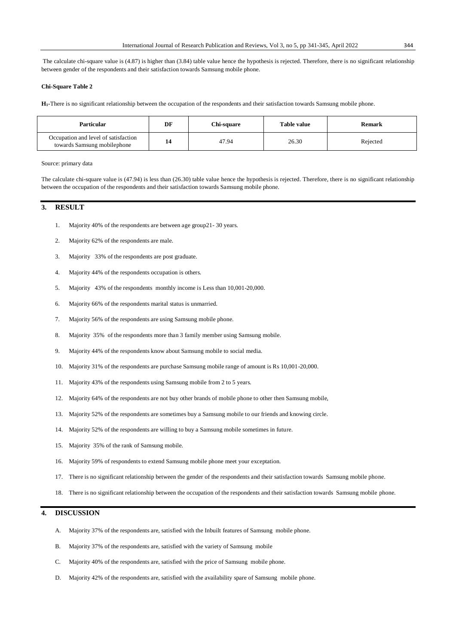The calculate chi-square value is (4.87) is higher than (3.84) table value hence the hypothesis is rejected. Therefore, there is no significant relationship between gender of the respondents and their satisfaction towards Samsung mobile phone.

#### **Chi-Square Table 2**

**H1-**There is no significant relationship between the occupation of the respondents and their satisfaction towards Samsung mobile phone.

| <b>Particular</b>                                                   | DF | Chi-square | Table value | Remark   |
|---------------------------------------------------------------------|----|------------|-------------|----------|
| Occupation and level of satisfaction<br>towards Samsung mobilephone |    | 47.94      | 26.30       | Rejected |

## Source: primary data

The calculate chi-square value is (47.94) is less than (26.30) table value hence the hypothesis is rejected. Therefore, there is no significant relationship between the occupation of the respondents and their satisfaction towards Samsung mobile phone.

## **3. RESULT**

- 1. Majority 40% of the respondents are between age group21- 30 years.
- 2. Majority 62% of the respondents are male.
- 3. Majority 33% of the respondents are post graduate.
- 4. Majority 44% of the respondents occupation is others.
- 5. Majority 43% of the respondents monthly income is Less than 10,001-20,000.
- 6. Majority 66% of the respondents marital status is unmarried.
- 7. Majority 56% of the respondents are using Samsung mobile phone.
- 8. Majority 35% of the respondents more than 3 family member using Samsung mobile.
- 9. Majority 44% of the respondents know about Samsung mobile to social media.
- 10. Majority 31% of the respondents are purchase Samsung mobile range of amount is Rs 10,001-20,000.
- 11. Majority 43% of the respondents using Samsung mobile from 2 to 5 years.
- 12. Majority 64% of the respondents are not buy other brands of mobile phone to other then Samsung mobile,
- 13. Majority 52% of the respondents are sometimes buy a Samsung mobile to our friends and knowing circle.
- 14. Majority 52% of the respondents are willing to buy a Samsung mobile sometimes in future.
- 15. Majority 35% of the rank of Samsung mobile.
- 16. Majority 59% of respondents to extend Samsung mobile phone meet your exceptation.
- 17. There is no significant relationship between the gender of the respondents and their satisfaction towards Samsung mobile phone.
- 18. There is no significant relationship between the occupation of the respondents and their satisfaction towards Samsung mobile phone.

## **4. DISCUSSION**

- A. Majority 37% of the respondents are, satisfied with the Inbuilt features of Samsung mobile phone.
- B. Majority 37% of the respondents are, satisfied with the variety of Samsung mobile
- C. Majority 40% of the respondents are, satisfied with the price of Samsung mobile phone.
- D. Majority 42% of the respondents are, satisfied with the availability spare of Samsung mobile phone.